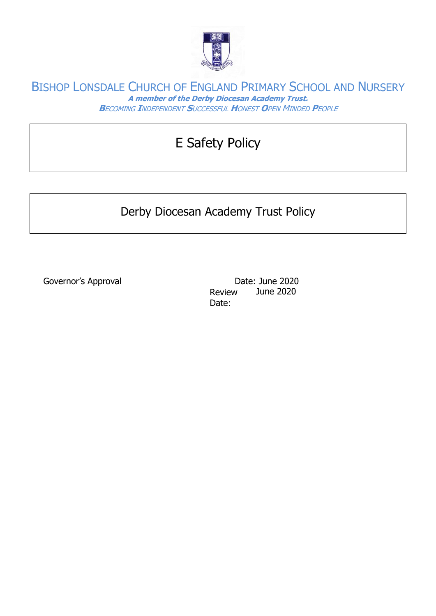

# E Safety Policy

## Derby Diocesan Academy Trust Policy

Governor's Approval and Date: June 2020 Review Date: June 2020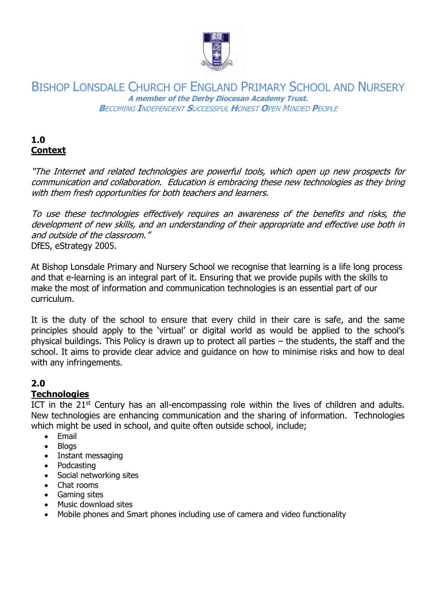

### **1.0 Context**

"The Internet and related technologies are powerful tools, which open up new prospects for communication and collaboration. Education is embracing these new technologies as they bring with them fresh opportunities for both teachers and learners.

To use these technologies effectively requires an awareness of the benefits and risks, the development of new skills, and an understanding of their appropriate and effective use both in and outside of the classroom." DfES, eStrategy 2005.

At Bishop Lonsdale Primary and Nursery School we recognise that learning is a life long process and that e-learning is an integral part of it. Ensuring that we provide pupils with the skills to make the most of information and communication technologies is an essential part of our curriculum.

It is the duty of the school to ensure that every child in their care is safe, and the same principles should apply to the 'virtual' or digital world as would be applied to the school's physical buildings. This Policy is drawn up to protect all parties – the students, the staff and the school. It aims to provide clear advice and guidance on how to minimise risks and how to deal with any infringements.

### **2.0**

### **Technologies**

ICT in the  $21<sup>st</sup>$  Century has an all-encompassing role within the lives of children and adults. New technologies are enhancing communication and the sharing of information. Technologies which might be used in school, and quite often outside school, include;

- Email
- Blogs
- Instant messaging
- Podcasting
- Social networking sites
- Chat rooms
- Gaming sites
- Music download sites
- Mobile phones and Smart phones including use of camera and video functionality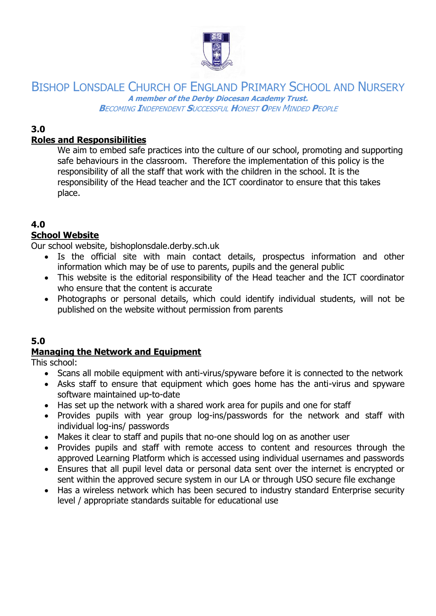

### **3.0**

### **Roles and Responsibilities**

We aim to embed safe practices into the culture of our school, promoting and supporting safe behaviours in the classroom. Therefore the implementation of this policy is the responsibility of all the staff that work with the children in the school. It is the responsibility of the Head teacher and the ICT coordinator to ensure that this takes place.

### **4.0**

### **School Website**

Our school website, bishoplonsdale.derby.sch.uk

- Is the official site with main contact details, prospectus information and other information which may be of use to parents, pupils and the general public
- This website is the editorial responsibility of the Head teacher and the ICT coordinator who ensure that the content is accurate
- Photographs or personal details, which could identify individual students, will not be published on the website without permission from parents

#### **5.0**

### **Managing the Network and Equipment**

This school:

- Scans all mobile equipment with anti-virus/spyware before it is connected to the network
- Asks staff to ensure that equipment which goes home has the anti-virus and spyware software maintained up-to-date
- Has set up the network with a shared work area for pupils and one for staff
- Provides pupils with year group log-ins/passwords for the network and staff with individual log-ins/ passwords
- Makes it clear to staff and pupils that no-one should log on as another user
- Provides pupils and staff with remote access to content and resources through the approved Learning Platform which is accessed using individual usernames and passwords
- Ensures that all pupil level data or personal data sent over the internet is encrypted or sent within the approved secure system in our LA or through USO secure file exchange
- Has a wireless network which has been secured to industry standard Enterprise security level / appropriate standards suitable for educational use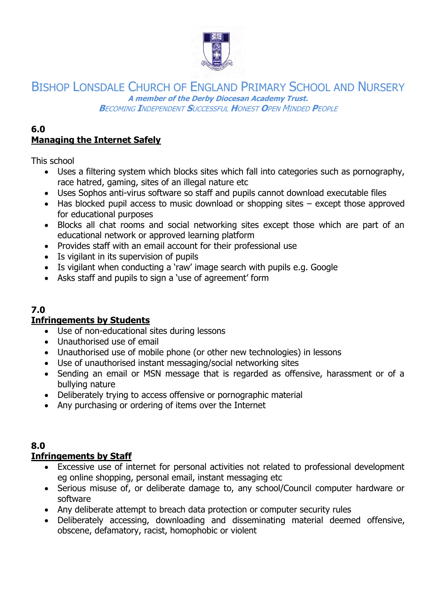

#### **6.0 Managing the Internet Safely**

This school

- Uses a filtering system which blocks sites which fall into categories such as pornography, race hatred, gaming, sites of an illegal nature etc
- Uses Sophos anti-virus software so staff and pupils cannot download executable files
- Has blocked pupil access to music download or shopping sites except those approved for educational purposes
- Blocks all chat rooms and social networking sites except those which are part of an educational network or approved learning platform
- Provides staff with an email account for their professional use
- Is vigilant in its supervision of pupils
- Is vigilant when conducting a 'raw' image search with pupils e.g. Google
- Asks staff and pupils to sign a 'use of agreement' form

### **7.0**

### **Infringements by Students**

- Use of non-educational sites during lessons
- Unauthorised use of email
- Unauthorised use of mobile phone (or other new technologies) in lessons
- Use of unauthorised instant messaging/social networking sites
- Sending an email or MSN message that is regarded as offensive, harassment or of a bullying nature
- Deliberately trying to access offensive or pornographic material
- Any purchasing or ordering of items over the Internet

### **8.0**

### **Infringements by Staff**

- Excessive use of internet for personal activities not related to professional development eg online shopping, personal email, instant messaging etc
- Serious misuse of, or deliberate damage to, any school/Council computer hardware or software
- Any deliberate attempt to breach data protection or computer security rules
- Deliberately accessing, downloading and disseminating material deemed offensive, obscene, defamatory, racist, homophobic or violent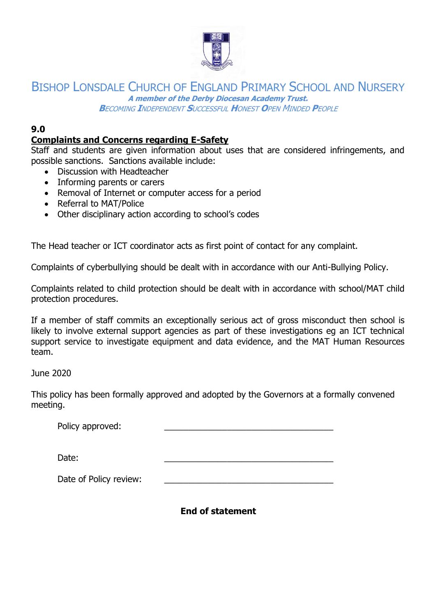

## BISHOP LONSDALE CHURCH OF ENGLAND PRIMARY SCHOOL AND NURSERY **A member of the Derby Diocesan Academy Trust.**

**B**ECOMING **I**NDEPENDENT **S**UCCESSFUL **H**ONEST **O**PEN MINDED **P**EOPLE

### **9.0**

### **Complaints and Concerns regarding E-Safety**

Staff and students are given information about uses that are considered infringements, and possible sanctions. Sanctions available include:

- Discussion with Headteacher
- Informing parents or carers
- Removal of Internet or computer access for a period
- Referral to MAT/Police
- Other disciplinary action according to school's codes

The Head teacher or ICT coordinator acts as first point of contact for any complaint.

Complaints of cyberbullying should be dealt with in accordance with our Anti-Bullying Policy.

Complaints related to child protection should be dealt with in accordance with school/MAT child protection procedures.

If a member of staff commits an exceptionally serious act of gross misconduct then school is likely to involve external support agencies as part of these investigations eg an ICT technical support service to investigate equipment and data evidence, and the MAT Human Resources team.

June 2020

This policy has been formally approved and adopted by the Governors at a formally convened meeting.

| Policy approved: |  |
|------------------|--|
|                  |  |

Date: \_\_\_\_\_\_\_\_\_\_\_\_\_\_\_\_\_\_\_\_\_\_\_\_\_\_\_\_\_\_\_\_\_\_\_

Date of Policy review:

**End of statement**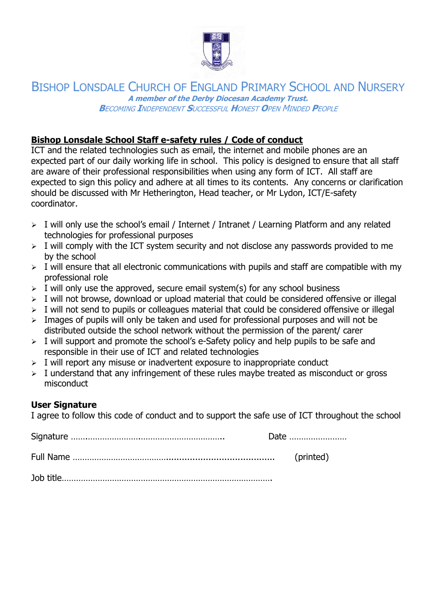

### **Bishop Lonsdale School Staff e-safety rules / Code of conduct**

ICT and the related technologies such as email, the internet and mobile phones are an expected part of our daily working life in school. This policy is designed to ensure that all staff are aware of their professional responsibilities when using any form of ICT. All staff are expected to sign this policy and adhere at all times to its contents. Any concerns or clarification should be discussed with Mr Hetherington, Head teacher, or Mr Lydon, ICT/E-safety coordinator.

- ➢ I will only use the school's email / Internet / Intranet / Learning Platform and any related technologies for professional purposes
- $\triangleright$  I will comply with the ICT system security and not disclose any passwords provided to me by the school
- $\triangleright$  I will ensure that all electronic communications with pupils and staff are compatible with my professional role
- $\triangleright$  I will only use the approved, secure email system(s) for any school business
- ➢ I will not browse, download or upload material that could be considered offensive or illegal
- $\triangleright$  I will not send to pupils or colleagues material that could be considered offensive or illegal
- $\geq$  Images of pupils will only be taken and used for professional purposes and will not be distributed outside the school network without the permission of the parent/ carer
- $\triangleright$  I will support and promote the school's e-Safety policy and help pupils to be safe and responsible in their use of ICT and related technologies
- $>$  I will report any misuse or inadvertent exposure to inappropriate conduct
- $\triangleright$  I understand that any infringement of these rules maybe treated as misconduct or gross misconduct

### **User Signature**

I agree to follow this code of conduct and to support the safe use of ICT throughout the school

| Date |
|------|
|      |
|      |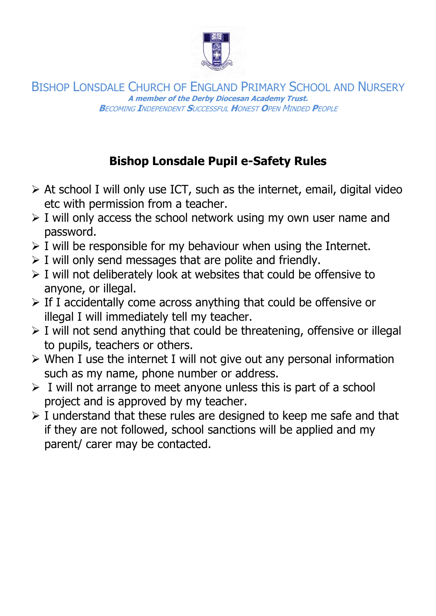

## **Bishop Lonsdale Pupil e-Safety Rules**

- $\triangleright$  At school I will only use ICT, such as the internet, email, digital video etc with permission from a teacher.
- $\triangleright$  I will only access the school network using my own user name and password.
- $\triangleright$  I will be responsible for my behaviour when using the Internet.
- $\triangleright$  I will only send messages that are polite and friendly.
- ➢ I will not deliberately look at websites that could be offensive to anyone, or illegal.
- $\triangleright$  If I accidentally come across anything that could be offensive or illegal I will immediately tell my teacher.
- $\triangleright$  I will not send anything that could be threatening, offensive or illegal to pupils, teachers or others.
- ➢ When I use the internet I will not give out any personal information such as my name, phone number or address.
- $\triangleright$  I will not arrange to meet anyone unless this is part of a school project and is approved by my teacher.
- $\triangleright$  I understand that these rules are designed to keep me safe and that if they are not followed, school sanctions will be applied and my parent/ carer may be contacted.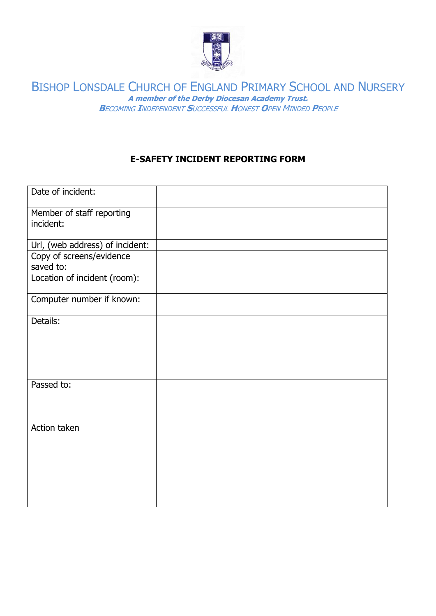

### **E-SAFETY INCIDENT REPORTING FORM**

| Date of incident:                      |  |
|----------------------------------------|--|
| Member of staff reporting<br>incident: |  |
| Url, (web address) of incident:        |  |
| Copy of screens/evidence<br>saved to:  |  |
| Location of incident (room):           |  |
| Computer number if known:              |  |
| Details:                               |  |
| Passed to:                             |  |
| Action taken                           |  |